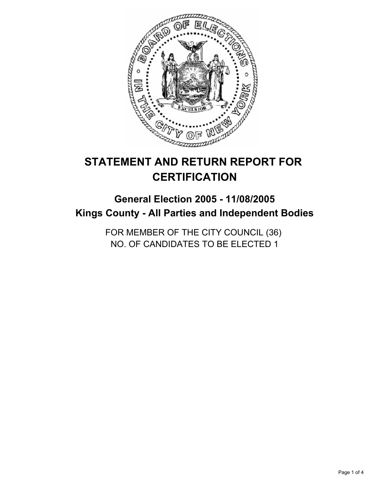

# **STATEMENT AND RETURN REPORT FOR CERTIFICATION**

# **General Election 2005 - 11/08/2005 Kings County - All Parties and Independent Bodies**

FOR MEMBER OF THE CITY COUNCIL (36) NO. OF CANDIDATES TO BE ELECTED 1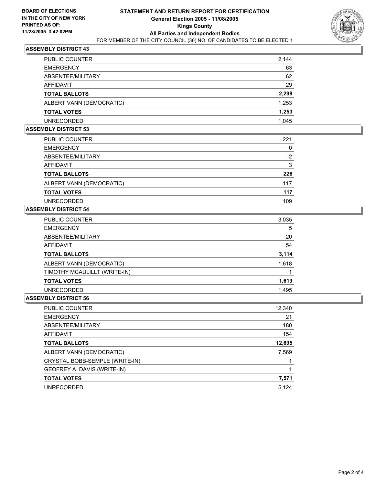

### **ASSEMBLY DISTRICT 43**

| <b>PUBLIC COUNTER</b>    | 2,144 |
|--------------------------|-------|
| <b>EMERGENCY</b>         | 63    |
| ABSENTEE/MILITARY        | 62    |
| AFFIDAVIT                | 29    |
| <b>TOTAL BALLOTS</b>     | 2,298 |
| ALBERT VANN (DEMOCRATIC) | 1,253 |
| <b>TOTAL VOTES</b>       | 1,253 |
| UNRECORDED               | 1.045 |

#### **ASSEMBLY DISTRICT 53**

| PUBLIC COUNTER           | 221 |
|--------------------------|-----|
| <b>EMERGENCY</b>         |     |
| ABSENTEE/MILITARY        | 2   |
| AFFIDAVIT                | 3   |
| <b>TOTAL BALLOTS</b>     | 226 |
| ALBERT VANN (DEMOCRATIC) | 117 |
| <b>TOTAL VOTES</b>       | 117 |
| <b>UNRECORDED</b>        | 109 |

### **ASSEMBLY DISTRICT 54**

| 3,035 |
|-------|
| 5     |
| 20    |
| 54    |
| 3,114 |
| 1,618 |
|       |
| 1,619 |
| 1,495 |
|       |

## **ASSEMBLY DISTRICT 56**

| PUBLIC COUNTER                 | 12,340 |
|--------------------------------|--------|
| <b>EMERGENCY</b>               | 21     |
| ABSENTEE/MILITARY              | 180    |
| AFFIDAVIT                      | 154    |
| <b>TOTAL BALLOTS</b>           | 12,695 |
| ALBERT VANN (DEMOCRATIC)       | 7,569  |
| CRYSTAL BOBB-SEMPLE (WRITE-IN) |        |
| GEOFREY A. DAVIS (WRITE-IN)    |        |
| <b>TOTAL VOTES</b>             | 7,571  |
| <b>UNRECORDED</b>              | 5,124  |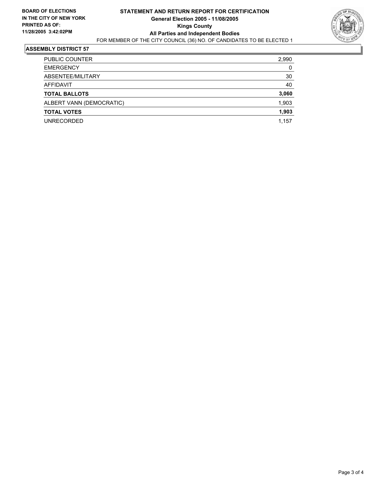

#### **ASSEMBLY DISTRICT 57**

| PUBLIC COUNTER           | 2,990 |
|--------------------------|-------|
| <b>EMERGENCY</b>         | 0     |
| ABSENTEE/MILITARY        | 30    |
| AFFIDAVIT                | 40    |
| <b>TOTAL BALLOTS</b>     | 3,060 |
| ALBERT VANN (DEMOCRATIC) | 1,903 |
| <b>TOTAL VOTES</b>       | 1,903 |
| <b>UNRECORDED</b>        | 1,157 |
|                          |       |